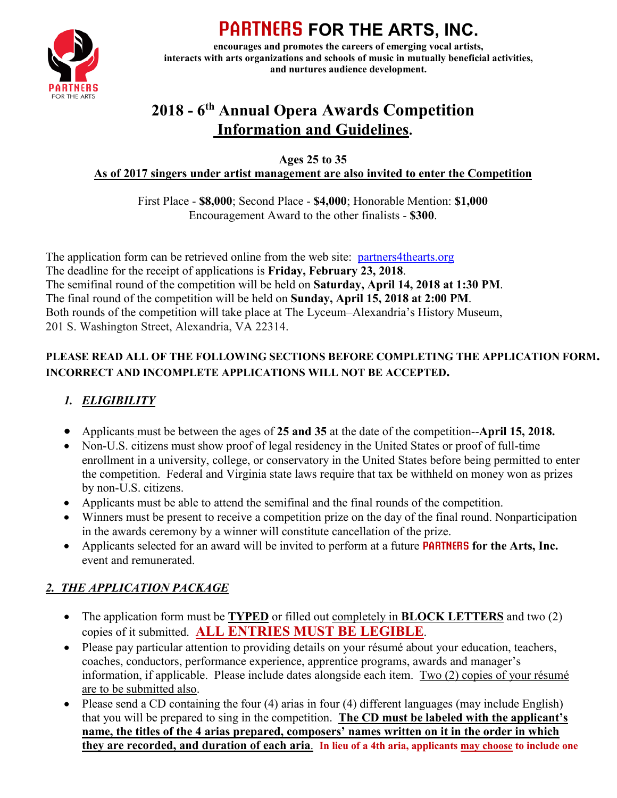

# **PARTNERS FOR THE ARTS, INC.**

**encourages and promotes the careers of emerging vocal artists, interacts with arts organizations and schools of music in mutually beneficial activities, and nurtures audience development.**

## **2018 - 6th Annual Opera Awards Competition Information and Guidelines.**

**Ages 25 to 35**

#### **As of 2017 singers under artist management are also invited to enter the Competition**

First Place - **\$8,000**; Second Place - **\$4,000**; Honorable Mention: **\$1,000** Encouragement Award to the other finalists - **\$300**.

The application form can be retrieved online from the web site: [partners4thearts.org](http://partners4thearts.org/) The deadline for the receipt of applications is **Friday, February 23, 2018**. The semifinal round of the competition will be held on **Saturday, April 14, 2018 at 1:30 PM**. The final round of the competition will be held on **Sunday, April 15, 2018 at 2:00 PM**. Both rounds of the competition will take place at The Lyceum–Alexandria's History Museum, 201 S. Washington Street, Alexandria, VA 22314.

#### **PLEASE READ ALL OF THE FOLLOWING SECTIONS BEFORE COMPLETING THE APPLICATION FORM. INCORRECT AND INCOMPLETE APPLICATIONS WILL NOT BE ACCEPTED.**

## *1. ELIGIBILITY*

- Applicants must be between the ages of **25 and 35** at the date of the competition--**April 15, 2018.**
- Non-U.S. citizens must show proof of legal residency in the United States or proof of full-time enrollment in a university, college, or conservatory in the United States before being permitted to enter the competition. Federal and Virginia state laws require that tax be withheld on money won as prizes by non-U.S. citizens.
- Applicants must be able to attend the semifinal and the final rounds of the competition.
- Winners must be present to receive a competition prize on the day of the final round. Nonparticipation in the awards ceremony by a winner will constitute cancellation of the prize.
- Applicants selected for an award will be invited to perform at a future **PARTNERS for the Arts, Inc.** event and remunerated.

## *2. THE APPLICATION PACKAGE*

- The application form must be **TYPED** or filled out completely in **BLOCK LETTERS** and two (2) copies of it submitted. **ALL ENTRIES MUST BE LEGIBLE**.
- Please pay particular attention to providing details on your résumé about your education, teachers, coaches, conductors, performance experience, apprentice programs, awards and manager's information, if applicable. Please include dates alongside each item. Two (2) copies of your résumé are to be submitted also.
- Please send a CD containing the four (4) arias in four (4) different languages (may include English) that you will be prepared to sing in the competition. **The CD must be labeled with the applicant's name, the titles of the 4 arias prepared, composers' names written on it in the order in which they are recorded, and duration of each aria**. **In lieu of a 4th aria, applicants may choose to include one**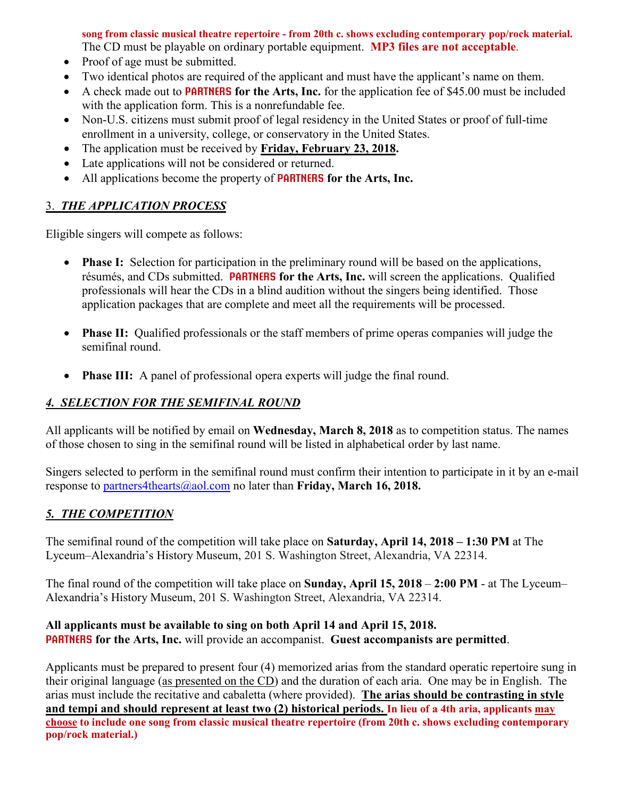**song from classic musical theatre repertoire - from 20th c. shows excluding contemporary pop/rock material.** The CD must be playable on ordinary portable equipment. **MP3 files are not acceptable**.

- Proof of age must be submitted.
- Two identical photos are required of the applicant and must have the applicant's name on them.
- A check made out to **PARTNERS for the Arts, Inc.** for the application fee of \$45.00 must be included with the application form. This is a nonrefundable fee.
- Non-U.S. citizens must submit proof of legal residency in the United States or proof of full-time enrollment in a university, college, or conservatory in the United States.
- The application must be received by **Friday, February 23, 2018.**
- Late applications will not be considered or returned.
- All applications become the property of **PARTNERS for the Arts, Inc.**

#### 3. *THE APPLICATION PROCESS*

Eligible singers will compete as follows:

- **Phase I:** Selection for participation in the preliminary round will be based on the applications, résumés, and CDs submitted. **PARTNERS for the Arts, Inc.** will screen the applications. Qualified professionals will hear the CDs in a blind audition without the singers being identified. Those application packages that are complete and meet all the requirements will be processed.
- **Phase II:** Qualified professionals or the staff members of prime operas companies will judge the semifinal round.
- **Phase III:** A panel of professional opera experts will judge the final round.

#### *4. SELECTION FOR THE SEMIFINAL ROUND*

All applicants will be notified by email on **Wednesday, March 8, 2018** as to competition status. The names of those chosen to sing in the semifinal round will be listed in alphabetical order by last name.

Singers selected to perform in the semifinal round must confirm their intention to participate in it by an e-mail response to [partners4thearts@aol.com](mailto:partners4thearts@aol.com) no later than **Friday, March 16, 2018.**

#### *5. THE COMPETITION*

The semifinal round of the competition will take place on **Saturday, April 14, 2018 – 1:30 PM** at The Lyceum–Alexandria's History Museum, 201 S. Washington Street, Alexandria, VA 22314.

The final round of the competition will take place on **Sunday, April 15, 2018** – **2:00 PM** - at The Lyceum– Alexandria's History Museum, 201 S. Washington Street, Alexandria, VA 22314.

#### **All applicants must be available to sing on both April 14 and April 15, 2018. PARTNERS for the Arts, Inc.** will provide an accompanist. **Guest accompanists are permitted**.

Applicants must be prepared to present four (4) memorized arias from the standard operatic repertoire sung in their original language (as presented on the CD) and the duration of each aria. One may be in English. The arias must include the recitative and cabaletta (where provided). **The arias should be contrasting in style and tempi and should represent at least two (2) historical periods. In lieu of a 4th aria, applicants may choose to include one song from classic musical theatre repertoire (from 20th c. shows excluding contemporary pop/rock material.)**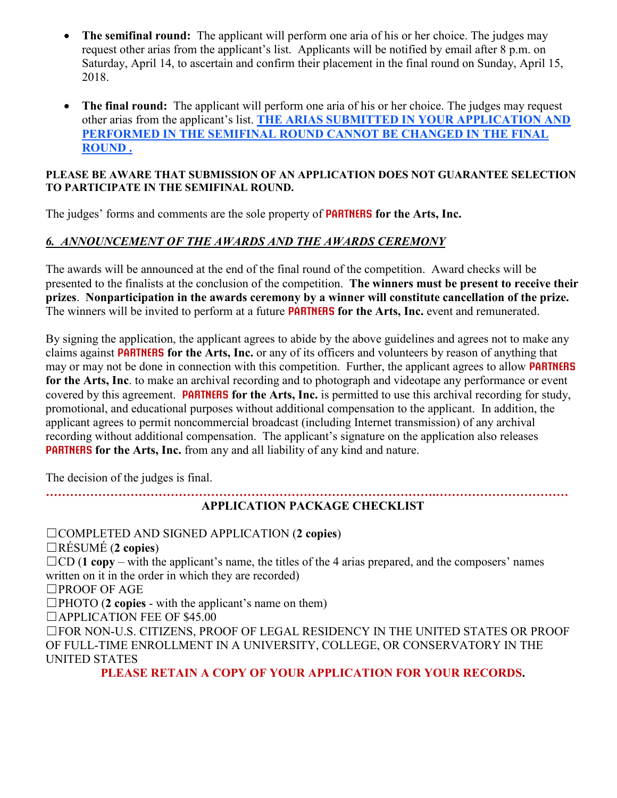- **The semifinal round:** The applicant will perform one aria of his or her choice. The judges may request other arias from the applicant's list. Applicants will be notified by email after 8 p.m. on Saturday, April 14, to ascertain and confirm their placement in the final round on Sunday, April 15, 2018.
- **The final round:** The applicant will perform one aria of his or her choice. The judges may request other arias from the applicant's list. **THE ARIAS SUBMITTED IN YOUR APPLICATION AND PERFORMED IN THE SEMIFINAL ROUND CANNOT BE CHANGED IN THE FINAL ROUND .**

#### **PLEASE BE AWARE THAT SUBMISSION OF AN APPLICATION DOES NOT GUARANTEE SELECTION TO PARTICIPATE IN THE SEMIFINAL ROUND.**

The judges' forms and comments are the sole property of **PARTNERS for the Arts, Inc.**

### *6. ANNOUNCEMENT OF THE AWARDS AND THE AWARDS CEREMONY*

The awards will be announced at the end of the final round of the competition. Award checks will be presented to the finalists at the conclusion of the competition. **The winners must be present to receive their prizes**. **Nonparticipation in the awards ceremony by a winner will constitute cancellation of the prize.**  The winners will be invited to perform at a future **PARTNERS for the Arts, Inc.** event and remunerated.

By signing the application, the applicant agrees to abide by the above guidelines and agrees not to make any claims against **PARTNERS for the Arts, Inc.** or any of its officers and volunteers by reason of anything that may or may not be done in connection with this competition. Further, the applicant agrees to allow **PARTNERS for the Arts, Inc**. to make an archival recording and to photograph and videotape any performance or event covered by this agreement. **PARTNERS for the Arts, Inc.** is permitted to use this archival recording for study, promotional, and educational purposes without additional compensation to the applicant. In addition, the applicant agrees to permit noncommercial broadcast (including Internet transmission) of any archival recording without additional compensation. The applicant's signature on the application also releases **PARTNERS for the Arts, Inc.** from any and all liability of any kind and nature.

The decision of the judges is final.

#### **…………………………………………………………………………………….…………………………… APPLICATION PACKAGE CHECKLIST**

☐COMPLETED AND SIGNED APPLICATION (**2 copies**) ☐RÉSUMÉ (**2 copies**)  $\Box$ CD (**1 copy** – with the applicant's name, the titles of the 4 arias prepared, and the composers' names written on it in the order in which they are recorded) ☐PROOF OF AGE  $\Box$ PHOTO (2 copies - with the applicant's name on them) ☐APPLICATION FEE OF \$45.00 ☐FOR NON-U.S. CITIZENS, PROOF OF LEGAL RESIDENCY IN THE UNITED STATES OR PROOF OF FULL-TIME ENROLLMENT IN A UNIVERSITY, COLLEGE, OR CONSERVATORY IN THE UNITED STATES **PLEASE RETAIN A COPY OF YOUR APPLICATION FOR YOUR RECORDS.**